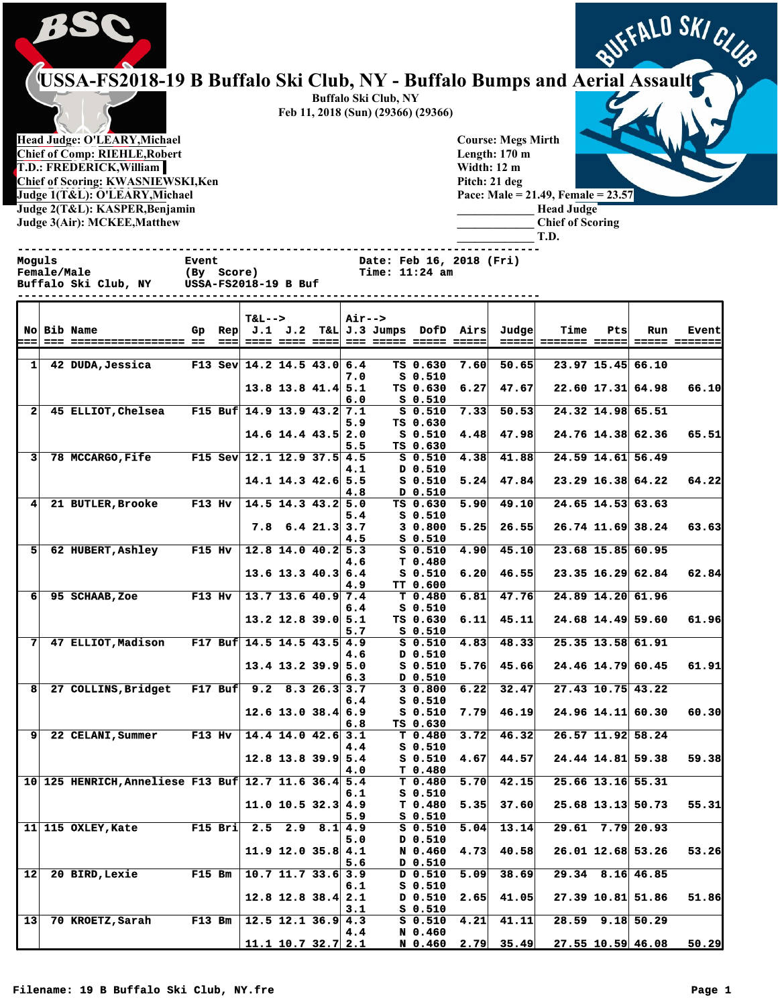

## **PSSC USSA-FS2018-19 B Buffalo Ski Club, NY - Buffalo Bumps and Aerial Assault**

**Head Judge: O'LEARY,Michael Chief of Comp: RIEHLE,Robert T.D.: FREDERICK,William Chief of Scoring: KWASNIEWSKI,Ken Judge 1(T&L): O'LEARY,Michael Judge 2(T&L): KASPER,Benjamin Judge 3(Air): MCKEE,Matthew** 

**Buffalo Ski Club, NY Feb 11, 2018 (Sun) (29366) (29366)**

> **Course: Megs Mirth Length: 170 m Width: 12 m Pitch: 21 deg Pace: Male = 21.49, Female = 23.57 \_\_\_\_\_\_\_\_\_\_\_\_\_ Head Judge**

**\_\_\_\_\_\_\_\_\_\_\_\_\_ Chief of Scoring \_\_\_\_\_\_\_\_\_\_\_\_\_ T.D.**

|                      | Moguls | <b>Female/Male</b><br>Buffalo Ski Club, NY USSA-FS2018-19 B Buf | <b>Event</b>  | (By Score)                |                      |                  | <b>Date: Feb 16, 2018 (Fri)</b><br><b>Time: 11:24 am</b> |                                   |      |                                                                                                                           |                                        |     |                     |              |
|----------------------|--------|-----------------------------------------------------------------|---------------|---------------------------|----------------------|------------------|----------------------------------------------------------|-----------------------------------|------|---------------------------------------------------------------------------------------------------------------------------|----------------------------------------|-----|---------------------|--------------|
| ⊨==∣                 |        | <b>No Bib Name</b>                                              |               | <b>T&amp;L--&gt;</b>      |                      | <b>Air--&gt;</b> |                                                          |                                   |      | Gp Rep J.1 J.2 T&L J.3 Jumps DofD Airs Judge                                                                              | <b>Time</b>                            | Pts | Run                 | <b>Event</b> |
|                      |        | 1 42 DUDA, Jessica F13 Sev 14.2 14.5 43.0 6.4                   |               |                           |                      | 7.0              |                                                          | <b>S 0.510</b>                    |      | TS $0.630$ 7.60 50.65                                                                                                     |                                        |     | 23.97 15.45 66.10   |              |
|                      |        |                                                                 |               |                           | $13.8$ 13.8 41.4 5.1 | 6.0              |                                                          | <b>S 0.510</b>                    |      | $TS$ 0.630 6.27 47.67                                                                                                     |                                        |     | $22.60$ 17.31 64.98 | 66.10        |
| 2 <sup>1</sup>       |        | 45 ELLIOT, Chelsea F15 Buf 14.9 13.9 43.2 7.1                   |               |                           |                      | 5.9              |                                                          | TS 0.630                          |      | S 0.510 7.33 50.53                                                                                                        |                                        |     | 24.32 14.98 65.51   |              |
|                      |        |                                                                 |               | $14.6$ 14.4 43.5 2.0      |                      | 5.5              |                                                          | TS 0.630                          |      | $S$ 0.510 4.48 47.98                                                                                                      |                                        |     | $24.76$ 14.38 62.36 | 65.51        |
| 3 <sup>1</sup>       |        | 78 MCCARGO, Fife F15 Sev 12.1 12.9 37.5 4.5                     |               |                           |                      | 4.1              |                                                          | D 0.510                           |      | $S$ 0.510 4.38 41.88                                                                                                      |                                        |     | 24.59 14.61 56.49   |              |
|                      |        |                                                                 |               | $14.1$ $14.3$ $42.6$ 5.5  |                      | 4.8              |                                                          | D 0.510                           |      | S 0.510 5.24 47.84                                                                                                        |                                        |     | $23.29$ 16.38 64.22 | 64.22        |
| $\blacktriangleleft$ |        | 21 BUTLER, Brooke F13 Hv $ 14.5 14.3 43.2   5.0$                |               |                           |                      | 5.4              |                                                          | TS 0.630<br><b>S 0.510</b>        |      | 5.90   49.10                                                                                                              |                                        |     | $24.65$ 14.53 63.63 |              |
|                      |        |                                                                 |               |                           | $7.8$ 6.4 21.3 3.7   | 4.5              |                                                          | 30.800<br>S 0.510                 |      | $5.25$ 26.55                                                                                                              |                                        |     | $26.74$ 11.69 38.24 | 63.63        |
|                      | 51.    | 62 HUBERT, Ashley F15 Hv $ 12.8 14.0 40.2 5.3$                  |               |                           |                      | 4.6              |                                                          | <b>S 0.510</b><br>T 0.480         | 4.90 | 45.10                                                                                                                     |                                        |     | 23.68 15.85 60.95   |              |
|                      |        |                                                                 |               |                           | $13.6$ 13.3 40.3 6.4 | 4.9              |                                                          | <b>S 0.510</b><br><b>TT 0.600</b> | 6.20 | 46.55                                                                                                                     |                                        |     | 23.35 16.29 62.84   | 62.84        |
|                      | 6      | 95 SCHAAB, Zoe F13 Hv   13.7 13.6 40.9 7.4                      |               |                           |                      | 6.4              |                                                          | T 0.480<br><b>S 0.510</b>         | 6.81 | 47.76                                                                                                                     |                                        |     | 24.89 14.20 61.96   |              |
|                      |        |                                                                 |               | $13.2$ 12.8 39.0 5.1      |                      | 5.7              |                                                          | TS 0.630<br><b>S 0.510</b>        | 6.11 | 45.11                                                                                                                     |                                        |     | 24.68 14.49 59.60   | 61.96        |
| 71                   |        | 47 ELLIOT, Madison F17 Buf 14.5 14.5 43.5 4.9                   |               |                           |                      | 4.6              |                                                          | <b>S 0.510</b><br>D 0.510         | 4.83 | 48.33                                                                                                                     |                                        |     | 25.35 13.58 61.91   |              |
|                      |        |                                                                 |               |                           | $13.4$ 13.2 39.9 5.0 | 6.3              |                                                          | <b>S 0.510</b><br>D 0.510         | 5.76 | 45.66                                                                                                                     |                                        |     | $24.46$ 14.79 60.45 | 61.91        |
| 8                    |        | 27 COLLINS, Bridget F17 Buf 9.2 8.3 26.3 3.7                    |               |                           |                      | 6.4              |                                                          | 30.800<br>$S_0.510$               | 6.22 | 32.47                                                                                                                     |                                        |     | $27.43$ 10.75 43.22 |              |
|                      |        |                                                                 |               |                           | $12.6$ 13.0 38.4 6.9 | 6.8              |                                                          | S 0.510<br>TS 0.630               | 7.79 | 46.19                                                                                                                     |                                        |     | $24.96$ 14.11 60.30 | 60.30        |
| 91                   |        | 22 CELANI, Summer F13 Hv 14.4 14.0 42.6 3.1                     |               |                           |                      | 4.4              |                                                          | T 0.480<br><b>S 0.510</b>         | 3.72 | 46.32                                                                                                                     |                                        |     | 26.57 11.92 58.24   |              |
|                      |        |                                                                 |               | $12.8$ 13.8 39.9 5.4      |                      | 4.0              |                                                          | T 0.480                           |      | $S$ 0.510 4.67 44.57                                                                                                      |                                        |     | $24.44$ 14.81 59.38 | 59.38        |
|                      |        | 10 125 HENRICH, Anneliese F13 Buf 12.7 11.6 36.4 5.4            |               |                           |                      | 6.1              |                                                          | S 0.510                           |      |                                                                                                                           | $T$ 0.480 5.70 42.15 25.66 13.16 55.31 |     |                     |              |
|                      |        |                                                                 |               | 11.0 10.5 32.3 $4.9$      |                      |                  | 5.9 S 0.510                                              |                                   |      |                                                                                                                           | $T$ 0.480 5.35 37.60 25.68 13.13 50.73 |     |                     | 55.31        |
|                      |        | $11$ 115 OXLEY, Kate                                            |               | F15 Bri $2.5$ 2.9 8.1 4.9 |                      | 5.0              |                                                          | $S_0.510$<br>D 0.510              | 5.04 | 13.14                                                                                                                     |                                        |     | $29.61$ 7.79 20.93  |              |
|                      |        |                                                                 |               |                           | $11.9$ 12.0 35.8 4.1 | 5.6              |                                                          | N 0.460<br>D 0.510                | 4.73 | 40.58                                                                                                                     |                                        |     | $26.01$ 12.68 53.26 | 53.26        |
| 12                   |        | 20 BIRD, Lexie                                                  | <b>F15 Bm</b> | $10.7$ 11.7 33.6 3.9      |                      | 6.1              |                                                          | $D$ 0.510<br>$S_0.510$            | 5.09 | 38.69                                                                                                                     |                                        |     | $29.34$ 8.16 46.85  |              |
|                      |        |                                                                 |               |                           | $12.8$ 12.8 38.4 2.1 | 3.1              |                                                          | $D$ 0.510<br>$S_0.510$            | 2.65 | 41.05                                                                                                                     |                                        |     | 27.39 10.81 51.86   | 51.86        |
| 13                   |        | 70 KROETZ, Sarah                                                | $F13$ Bm      | $12.5$ 12.1 36.9 4.3      |                      | 4.4              |                                                          | $S_0.510$<br>N 0.460              | 4.21 | 41.11                                                                                                                     |                                        |     | 28.59 9.18 50.29    |              |
|                      |        |                                                                 |               | $11.1$ 10.7 32.7 2.1      |                      |                  |                                                          |                                   |      | $\begin{array}{ c c c c c c c c } \hline \textbf{N} & \textbf{0.460} & \textbf{2.79} & \textbf{35.49} \hline \end{array}$ |                                        |     | $27.55$ 10.59 46.08 | 50.29        |

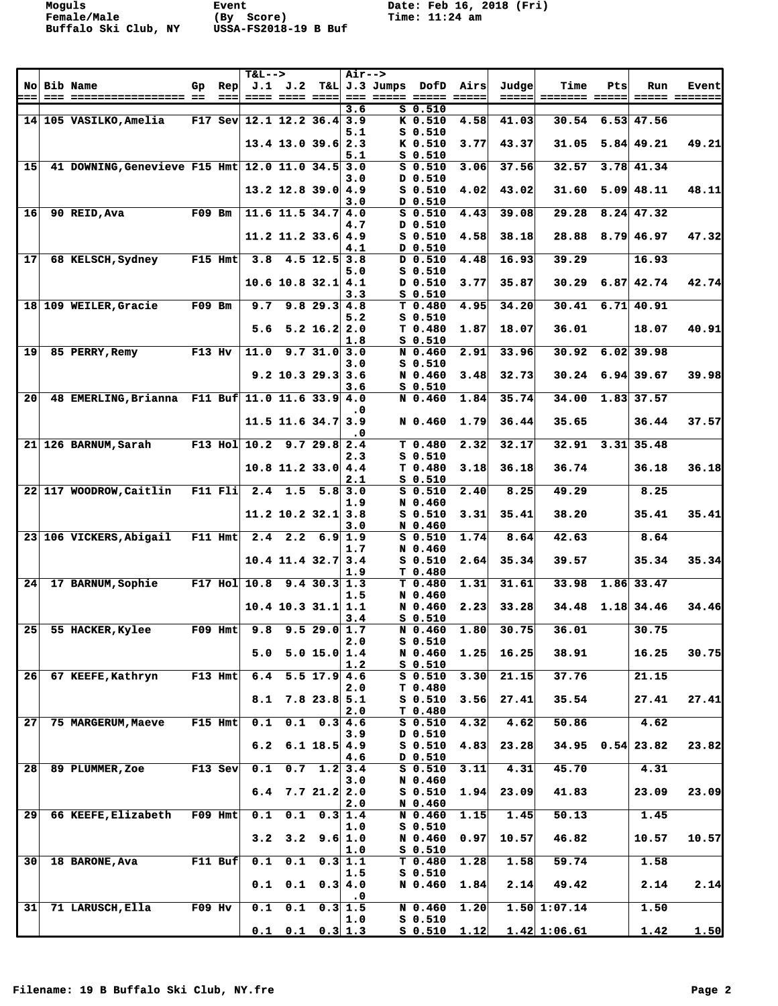**Moguls Event Date: Feb 16, 2018 (Fri)**

|                 |                                              |          |                                          | $T&L-->$         |                       |                           | <b>Air--&gt;</b>             |               |                               |                                                                                                                                                                                                                                                                                                                                                                                                                                                                                                      |                |                                     |     |                    |                                     |
|-----------------|----------------------------------------------|----------|------------------------------------------|------------------|-----------------------|---------------------------|------------------------------|---------------|-------------------------------|------------------------------------------------------------------------------------------------------------------------------------------------------------------------------------------------------------------------------------------------------------------------------------------------------------------------------------------------------------------------------------------------------------------------------------------------------------------------------------------------------|----------------|-------------------------------------|-----|--------------------|-------------------------------------|
| ===             | <b>No Bib Name</b>                           | Gp       | <b>Rep</b><br>$=$ $=$ $=$ $\blacksquare$ | J.1              | J.2<br>==== ==== ==== |                           |                              | T&L J.3 Jumps | DofD                          | Airs<br>$\begin{array}{c} \multicolumn{3}{c} {\textbf{1}} & \multicolumn{3}{c} {\textbf{2}} & \multicolumn{3}{c} {\textbf{3}} & \multicolumn{3}{c} {\textbf{4}} \\ \multicolumn{3}{c} {\textbf{5}} & \multicolumn{3}{c} {\textbf{6}} & \multicolumn{3}{c} {\textbf{7}} & \multicolumn{3}{c} {\textbf{8}} & \multicolumn{3}{c} {\textbf{9}} \\ \multicolumn{3}{c} {\textbf{1}} & \multicolumn{3}{c} {\textbf{1}} & \multicolumn{3}{c} {\textbf{1}} & \multicolumn{3}{c} {\textbf{1}} & \multicolumn{$ | Judge<br>===== | <b>Time</b><br><b>======= =====</b> | Pts | Run                | <b>Event</b><br><b>===== ======</b> |
|                 |                                              |          |                                          |                  |                       |                           | 3.6                          |               | $S_0.510$                     |                                                                                                                                                                                                                                                                                                                                                                                                                                                                                                      |                |                                     |     |                    |                                     |
|                 | 14 105 VASILKO, Amelia                       |          | $F17$ Sev                                |                  | 12.1 12.2 36.4 3.9    |                           |                              |               | K 0.510                       | 4.58                                                                                                                                                                                                                                                                                                                                                                                                                                                                                                 | 41.03          | 30.54                               |     | $6.53$ 47.56       |                                     |
|                 |                                              |          |                                          |                  | $13.4$ 13.0 39.6      |                           | 5.1<br>2.3                   |               | $S_0.510$<br>K 0.510          | 3.77                                                                                                                                                                                                                                                                                                                                                                                                                                                                                                 | 43.37          | 31.05                               |     | $5.84 \, 49.21$    | 49.21                               |
|                 |                                              |          |                                          |                  |                       |                           | 5.1                          |               | $S_0.510$                     |                                                                                                                                                                                                                                                                                                                                                                                                                                                                                                      |                |                                     |     |                    |                                     |
| 15              | 41 DOWNING, Genevieve F15 Hmt 12.0 11.0 34.5 |          |                                          |                  |                       |                           | 3.0                          |               | $S$ 0.510                     | 3.06                                                                                                                                                                                                                                                                                                                                                                                                                                                                                                 | 37.56          | 32.57                               |     | $3.78$ 41.34       |                                     |
|                 |                                              |          |                                          |                  | $13.2$ 12.8 39.0 4.9  |                           | 3.0                          |               | D 0.510<br>$S$ 0.510          | 4.02                                                                                                                                                                                                                                                                                                                                                                                                                                                                                                 | 43.02          | 31.60                               |     | $5.09$ 48.11       | 48.11                               |
|                 |                                              |          |                                          |                  |                       |                           | 3.0                          |               | D 0.510                       |                                                                                                                                                                                                                                                                                                                                                                                                                                                                                                      |                |                                     |     |                    |                                     |
| 16              | 90 REID, Ava                                 | $F09$ Bm |                                          |                  | $11.6$ 11.5 34.7 4.0  |                           |                              |               | $S_0.510$                     | 4.43                                                                                                                                                                                                                                                                                                                                                                                                                                                                                                 | 39.08          | 29.28                               |     | $8.24$ 47.32       |                                     |
|                 |                                              |          |                                          |                  |                       |                           | 4.7                          |               | D 0.510                       |                                                                                                                                                                                                                                                                                                                                                                                                                                                                                                      |                |                                     |     |                    |                                     |
|                 |                                              |          |                                          |                  | $11.2$ 11.2 33.6 4.9  |                           | 4.1                          |               | $S_0.510$<br>D 0.510          | 4.58                                                                                                                                                                                                                                                                                                                                                                                                                                                                                                 | 38.18          | 28.88                               |     | $8.79$ 46.97       | 47.32                               |
| 17              | 68 KELSCH, Sydney                            |          | $F15$ Hmt                                | 3.8              |                       | $4.5$ 12.5                | 3.8                          |               | D 0.510                       | 4.48                                                                                                                                                                                                                                                                                                                                                                                                                                                                                                 | 16.93          | 39.29                               |     | 16.93              |                                     |
|                 |                                              |          |                                          |                  |                       |                           | 5.0                          |               | $S_0.510$                     |                                                                                                                                                                                                                                                                                                                                                                                                                                                                                                      |                |                                     |     |                    |                                     |
|                 |                                              |          |                                          |                  | $10.6$ 10.8 32.1 4.1  |                           | 3.3                          |               | D 0.510<br>S 0.510            | 3.77                                                                                                                                                                                                                                                                                                                                                                                                                                                                                                 | 35.87          | 30.29                               |     | $6.87$ 42.74       | 42.74                               |
|                 | 18 109 WEILER, Gracie                        | $F09$ Bm |                                          | 9.7              |                       | $9.8$ 29.3 4.8            |                              |               | T 0.480                       | 4.95                                                                                                                                                                                                                                                                                                                                                                                                                                                                                                 | 34.20          | 30.41                               |     | $6.71$ 40.91       |                                     |
|                 |                                              |          |                                          |                  |                       |                           | 5.2                          |               | $S_0.510$                     |                                                                                                                                                                                                                                                                                                                                                                                                                                                                                                      |                |                                     |     |                    |                                     |
|                 |                                              |          |                                          | 5.6              |                       | $5.2$ 16.2 2.0            | 1.8                          |               | T 0.480<br><b>S</b> 0.510     | 1.87                                                                                                                                                                                                                                                                                                                                                                                                                                                                                                 | 18.07          | 36.01                               |     | 18.07              | 40.91                               |
| 19              | 85 PERRY, Remy                               | $F13$ Hv |                                          | 11.0             |                       | 9.731.0                   | 3.0                          |               | N 0.460                       | 2.91                                                                                                                                                                                                                                                                                                                                                                                                                                                                                                 | 33.96          | 30.92                               |     | $6.02$ 39.98       |                                     |
|                 |                                              |          |                                          |                  |                       |                           | 3.0                          |               | $S_0.510$                     |                                                                                                                                                                                                                                                                                                                                                                                                                                                                                                      |                |                                     |     |                    |                                     |
|                 |                                              |          |                                          |                  | $9.2$ 10.3 29.3       |                           | 3.6                          |               | N 0.460                       | 3.48                                                                                                                                                                                                                                                                                                                                                                                                                                                                                                 | 32.73          | 30.24                               |     | $6.94$ 39.67       | 39.98                               |
| 20              | 48 EMERLING, Brianna F11 Buf 11.0 11.6 33.9  |          |                                          |                  |                       |                           | 3.6<br>4.0                   |               | $S_0.510$<br>N 0.460          | 1.84                                                                                                                                                                                                                                                                                                                                                                                                                                                                                                 | 35.74          | 34.00                               |     | 1.83 37.57         |                                     |
|                 |                                              |          |                                          |                  |                       |                           | . 0                          |               |                               |                                                                                                                                                                                                                                                                                                                                                                                                                                                                                                      |                |                                     |     |                    |                                     |
|                 |                                              |          |                                          |                  | $11.5$ 11.6 34.7      |                           | 3.9                          |               | N 0.460                       | 1.79                                                                                                                                                                                                                                                                                                                                                                                                                                                                                                 | 36.44          | 35.65                               |     | 36.44              | 37.57                               |
| 21              | 126 BARNUM, Sarah                            |          |                                          | F13 Hol 10.2     |                       | 9.729.82.4                | . 0                          |               | T 0.480                       | 2.32                                                                                                                                                                                                                                                                                                                                                                                                                                                                                                 | 32.17          | 32.91                               |     | $3.31$ 35.48       |                                     |
|                 |                                              |          |                                          |                  |                       |                           | 2.3                          |               | $S_0.510$                     |                                                                                                                                                                                                                                                                                                                                                                                                                                                                                                      |                |                                     |     |                    |                                     |
|                 |                                              |          |                                          |                  | $10.8$ 11.2 33.0 4.4  |                           |                              |               | T 0.480                       | 3.18                                                                                                                                                                                                                                                                                                                                                                                                                                                                                                 | 36.18          | 36.74                               |     | 36.18              | 36.18                               |
|                 | 22 117 WOODROW, Caitlin                      |          | $F11$ $F11$                              | 2.4              | 1.5                   | 5.8                       | 2.1<br>3.0                   |               | $S_0.510$<br>$S_0.510$        | 2.40                                                                                                                                                                                                                                                                                                                                                                                                                                                                                                 | 8.25           | 49.29                               |     | 8.25               |                                     |
|                 |                                              |          |                                          |                  |                       |                           | 1.9                          |               | N 0.460                       |                                                                                                                                                                                                                                                                                                                                                                                                                                                                                                      |                |                                     |     |                    |                                     |
|                 |                                              |          |                                          |                  | $11.2$ 10.2 32.1 3.8  |                           |                              |               | $S_0.510$                     | 3.31                                                                                                                                                                                                                                                                                                                                                                                                                                                                                                 | 35.41          | 38.20                               |     | 35.41              | 35.41                               |
|                 | 23 106 VICKERS, Abigail                      |          | F11 Hmt                                  | 2.4              | 2.2                   | 6.9                       | 3.0<br>1.9                   |               | N 0.460<br>$S_0.510$          | 1.74                                                                                                                                                                                                                                                                                                                                                                                                                                                                                                 | 8.64           | 42.63                               |     | 8.64               |                                     |
|                 |                                              |          |                                          |                  |                       |                           | 1.7                          |               | N 0.460                       |                                                                                                                                                                                                                                                                                                                                                                                                                                                                                                      |                |                                     |     |                    |                                     |
|                 |                                              |          |                                          |                  | $10.4$ 11.4 32.7 3.4  |                           |                              |               | $S_0.510$                     | 2.64                                                                                                                                                                                                                                                                                                                                                                                                                                                                                                 | 35.34          | 39.57                               |     | 35.34              | 35.34                               |
| 24              | 17 BARNUM, Sophie                            |          |                                          | $F17$ Hol $10.8$ |                       | 9.4 30.3 1.3              | 1.9                          |               | T 0.480<br>T <sub>0.480</sub> | 1.31                                                                                                                                                                                                                                                                                                                                                                                                                                                                                                 | 31.61          | 33.98                               |     | $1.86$ 33.47       |                                     |
|                 |                                              |          |                                          |                  |                       |                           | 1.5                          |               | N 0.460                       |                                                                                                                                                                                                                                                                                                                                                                                                                                                                                                      |                |                                     |     |                    |                                     |
|                 |                                              |          |                                          |                  | $10.4$ 10.3 31.1 1.1  |                           |                              |               | N 0.460                       | 2.23                                                                                                                                                                                                                                                                                                                                                                                                                                                                                                 | 33.28          | 34.48                               |     | $1.18$ 34.46       | 34.46                               |
| 25 <sub>1</sub> | 55 HACKER, Kylee                             |          | $F09$ Hmt                                | 9.8              |                       | 9.529.01.7                | 3.4                          |               | $S_0.510$<br>N 0.460          | 1.80                                                                                                                                                                                                                                                                                                                                                                                                                                                                                                 | 30.75          | 36.01                               |     | 30.75              |                                     |
|                 |                                              |          |                                          |                  |                       |                           | 2.0                          |               | <b>S</b> 0.510                |                                                                                                                                                                                                                                                                                                                                                                                                                                                                                                      |                |                                     |     |                    |                                     |
|                 |                                              |          |                                          | 5.0              |                       | 5.0 15.0                  | 1.4                          |               | N 0.460                       | 1.25                                                                                                                                                                                                                                                                                                                                                                                                                                                                                                 | 16.25          | 38.91                               |     | 16.25              | 30.75                               |
| 26              | 67 KEEFE, Kathryn                            |          | $F13$ Hmt                                | 6.4              |                       | $5.5$ 17.9 4.6            | 1.2                          |               | $S_0.510$<br>$S_0.510$        | 3.30                                                                                                                                                                                                                                                                                                                                                                                                                                                                                                 | 21.15          | 37.76                               |     | 21.15              |                                     |
|                 |                                              |          |                                          |                  |                       |                           | 2.0                          |               | T 0.480                       |                                                                                                                                                                                                                                                                                                                                                                                                                                                                                                      |                |                                     |     |                    |                                     |
|                 |                                              |          |                                          | 8.1              |                       | $7.8$ 23.8 5.1            |                              |               | $S_0.510$                     | 3.56                                                                                                                                                                                                                                                                                                                                                                                                                                                                                                 | 27.41          | 35.54                               |     | 27.41              | 27.41                               |
| 27              | 75 MARGERUM, Maeve                           |          | F15 Hmt                                  | 0.1              |                       | $0.1 \quad 0.3 \, 4.6$    | 2.0                          |               | T 0.480<br>$S$ 0.510          | 4.32                                                                                                                                                                                                                                                                                                                                                                                                                                                                                                 | 4.62           | 50.86                               |     | 4.62               |                                     |
|                 |                                              |          |                                          |                  |                       |                           | 3.9                          |               | D 0.510                       |                                                                                                                                                                                                                                                                                                                                                                                                                                                                                                      |                |                                     |     |                    |                                     |
|                 |                                              |          |                                          | 6.2              |                       | $6.1$ 18.5 4.9            |                              |               | $S_0.510$                     | 4.83                                                                                                                                                                                                                                                                                                                                                                                                                                                                                                 | 23.28          |                                     |     | $34.95$ 0.54 23.82 | 23.82                               |
| 28              | 89 PLUMMER, Zoe                              |          | F13 Sev                                  | 0.1              |                       | $0.7 \quad 1.2 \quad 3.4$ | 4.6                          |               | D 0.510<br>$S$ 0.510          | 3.11                                                                                                                                                                                                                                                                                                                                                                                                                                                                                                 | 4.31           | 45.70                               |     | 4.31               |                                     |
|                 |                                              |          |                                          |                  |                       |                           | 3.0                          |               | N 0.460                       |                                                                                                                                                                                                                                                                                                                                                                                                                                                                                                      |                |                                     |     |                    |                                     |
|                 |                                              |          |                                          | 6.4              |                       | 7.721.22.0                |                              |               | $S_0.510$                     | 1.94                                                                                                                                                                                                                                                                                                                                                                                                                                                                                                 | 23.09          | 41.83                               |     | 23.09              | 23.09                               |
| 29 <sub>1</sub> | 66 KEEFE, Elizabeth                          |          | $F09$ Hmt                                | 0.1              |                       | $0.1 \quad 0.3 \, 1.4$    | 2.0                          |               | N 0.460<br>N 0.460            | 1.15                                                                                                                                                                                                                                                                                                                                                                                                                                                                                                 | 1.45           | 50.13                               |     | 1.45               |                                     |
|                 |                                              |          |                                          |                  |                       |                           | 1.0                          |               | $S_0.510$                     |                                                                                                                                                                                                                                                                                                                                                                                                                                                                                                      |                |                                     |     |                    |                                     |
|                 |                                              |          |                                          | 3.2              |                       | $3.2$ $9.6$ 1.0           |                              |               | N 0.460                       | 0.97                                                                                                                                                                                                                                                                                                                                                                                                                                                                                                 | 10.57          | 46.82                               |     | 10.57              | 10.57                               |
| 30              | 18 BARONE, Ava                               |          | F11 Buf                                  | 0.1              | 0.1                   |                           | 1.0<br>0.3 1.1               |               | $S_0.510$<br>T 0.480          | 1.28                                                                                                                                                                                                                                                                                                                                                                                                                                                                                                 | 1.58           | 59.74                               |     | 1.58               |                                     |
|                 |                                              |          |                                          |                  |                       |                           | 1.5                          |               | $S_0.510$                     |                                                                                                                                                                                                                                                                                                                                                                                                                                                                                                      |                |                                     |     |                    |                                     |
|                 |                                              |          |                                          | 0.1              |                       | $0.1 \quad 0.3 \, 4.0$    |                              |               | N 0.460                       | 1.84                                                                                                                                                                                                                                                                                                                                                                                                                                                                                                 | 2.14           | 49.42                               |     | 2.14               | 2.14                                |
| 31              | 71 LARUSCH, Ella                             | $F09$ Hv |                                          | 0.1              | 0.1                   |                           | $\cdot$ 0<br>$0.3 \vert 1.5$ |               | N 0.460                       | 1.20                                                                                                                                                                                                                                                                                                                                                                                                                                                                                                 |                | 1.50   1:07.14                      |     | 1.50               |                                     |
|                 |                                              |          |                                          |                  |                       |                           | 1.0                          |               | $S_0.510$                     |                                                                                                                                                                                                                                                                                                                                                                                                                                                                                                      |                |                                     |     |                    |                                     |
|                 |                                              |          |                                          |                  | $0.1$ $0.1$ $0.3$ 1.3 |                           |                              |               | $S_0.510$                     | 1.12                                                                                                                                                                                                                                                                                                                                                                                                                                                                                                 |                | 1.42   1:06.61                      |     | <u>1.42</u>        | 1.50                                |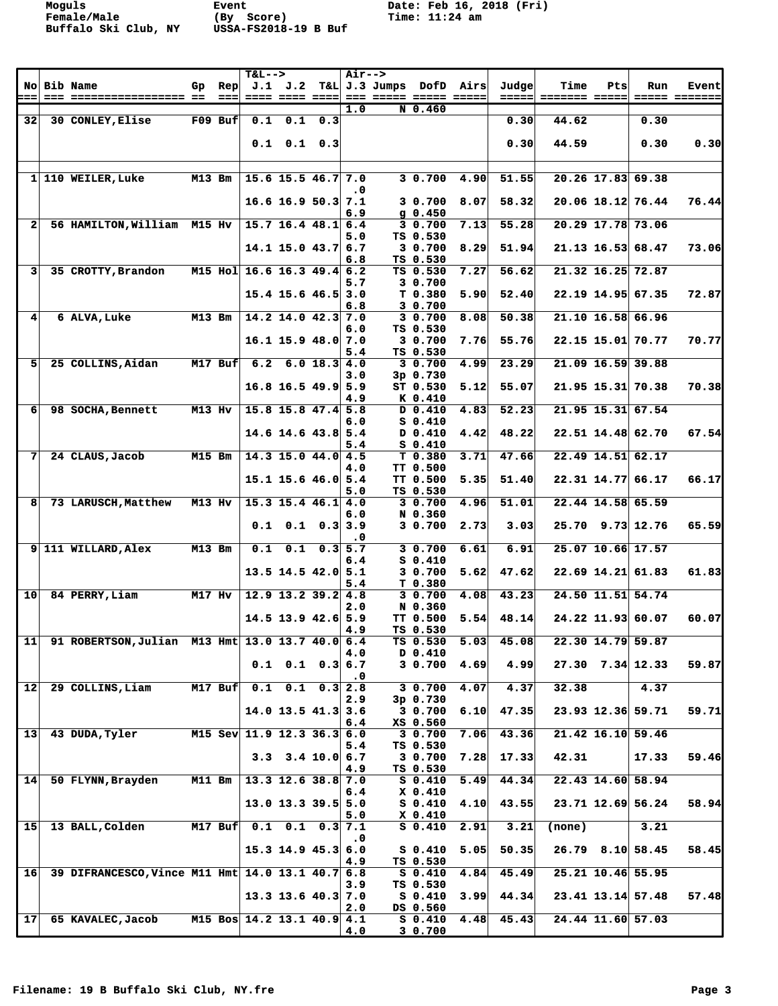**Moguls Event Date: Feb 16, 2018 (Fri)**

|                 |                                              |               |                            | <b>T&amp;L--&gt;</b>           |                                  |              | <b>Air--&gt;</b> |                         |                                 |      |       |               |     |                      |               |
|-----------------|----------------------------------------------|---------------|----------------------------|--------------------------------|----------------------------------|--------------|------------------|-------------------------|---------------------------------|------|-------|---------------|-----|----------------------|---------------|
|                 | <b>No Bib Name</b>                           | Gp            | <b>Rep</b>                 |                                | J.1 J.2                          |              |                  | T&L J.3 Jumps DofD Airs |                                 |      | Judge | Time          | Pts | Run                  | <b>Event</b>  |
| ⊨==             | --- ----------------- --                     |               | $=$ $=$ $=$ $\blacksquare$ |                                | ---- ---- ----                   |              | 1.0              | --- ----- ----- -----   | N 0.460                         |      | ===== | ======= ===== |     |                      | ----- ------- |
| 32 <sup>2</sup> | 30 CONLEY, Elise                             |               | $F09$ Buf                  | 0.1                            |                                  | $0.1 \t 0.3$ |                  |                         |                                 |      | 0.30  | 44.62         |     | 0.30                 |               |
|                 |                                              |               |                            |                                |                                  |              |                  |                         |                                 |      |       |               |     |                      |               |
|                 |                                              |               |                            |                                | $0.1$ $0.1$ $0.3$                |              |                  |                         |                                 |      | 0.30  | 44.59         |     | 0.30                 | 0.30          |
|                 |                                              |               |                            |                                |                                  |              |                  |                         |                                 |      |       |               |     |                      |               |
|                 | 1 110 WEILER, Luke                           | <b>M13 Bm</b> |                            |                                | $15.6$ 15.5 46.7 7.0             |              |                  |                         | 3 0.700                         | 4.90 | 51.55 |               |     | 20.26 17.83 69.38    |               |
|                 |                                              |               |                            |                                |                                  |              | $\cdot$ 0        |                         |                                 |      |       |               |     |                      |               |
|                 |                                              |               |                            |                                | $16.6$ 16.9 50.3                 |              | 7.1              |                         | 30.700                          | 8.07 | 58.32 |               |     | 20.06 18.12 76.44    | 76.44         |
|                 |                                              |               |                            |                                |                                  |              | 6.9              |                         | $g$ 0.450                       |      |       |               |     |                      |               |
| $\mathbf{2}$    | 56 HAMILTON, William M15 Hv                  |               |                            |                                | $15.7$ 16.4 48.1                 |              | 6.4<br>5.0       |                         | 30.700<br>TS 0.530              | 7.13 | 55.28 |               |     | 20.29 17.78 73.06    |               |
|                 |                                              |               |                            |                                | $14.1$ 15.0 43.7 6.7             |              |                  |                         | 30.700                          | 8.29 | 51.94 |               |     | $21.13$ 16.53 68.47  | 73.06         |
|                 |                                              |               |                            |                                |                                  |              | 6.8              |                         | TS 0.530                        |      |       |               |     |                      |               |
| 31              | 35 CROTTY, Brandon                           |               |                            | M15 Hol 16.6 16.3 49.4 6.2     |                                  |              |                  |                         | TS 0.530                        | 7.27 | 56.62 |               |     | $21.32$ 16.25 72.87  |               |
|                 |                                              |               |                            |                                |                                  |              | 5.7              |                         | 3 0.700                         |      |       |               |     |                      |               |
|                 |                                              |               |                            |                                | $15.4$ 15.6 46.5                 |              | 3.0<br>6.8       |                         | T 0.380<br>3 0.700              | 5.90 | 52.40 |               |     | 22.19 14.95 67.35    | 72.87         |
| $\mathbf{4}$    | <b>6 ALVA, Luke</b>                          | <b>M13 Bm</b> |                            |                                | $14.2$ 14.0 42.3 7.0             |              |                  |                         | 3 0.700                         | 8.08 | 50.38 |               |     | 21.10 16.58 66.96    |               |
|                 |                                              |               |                            |                                |                                  |              | 6.0              |                         | TS 0.530                        |      |       |               |     |                      |               |
|                 |                                              |               |                            |                                | $16.1$ 15.9 48.0                 |              | 7.0              |                         | 30.700                          | 7.76 | 55.76 |               |     | 22.15 15.01 70.77    | 70.77         |
| 51              | 25 COLLINS, Aidan                            |               | M17 Buf                    | 6.2                            | 6.018.3                          |              | 5.4<br>4.0       |                         | TS 0.530<br>30.700              | 4.99 | 23.29 |               |     | 21.09 16.59 39.88    |               |
|                 |                                              |               |                            |                                |                                  |              | 3.0              |                         | 3p 0.730                        |      |       |               |     |                      |               |
|                 |                                              |               |                            |                                | $16.8$ 16.5 49.9 5.9             |              |                  |                         | ST 0.530                        | 5.12 | 55.07 |               |     | $21.95$ 15.31 70.38  | 70.38         |
|                 |                                              |               |                            |                                |                                  |              | 4.9              |                         | K 0.410                         |      |       |               |     |                      |               |
| 6               | 98 SOCHA, Bennett                            | M13 Hv        |                            |                                | $15.8$ 15.8 $47.4$ 5.8           |              |                  |                         | D 0.410                         | 4.83 | 52.23 |               |     | 21.95 15.31 67.54    |               |
|                 |                                              |               |                            |                                | $14.6$ 14.6 43.8 5.4             |              | 6.0              |                         | $S_0.410$<br>D 0.410            | 4.42 | 48.22 |               |     | 22.51 14.48 62.70    | 67.54         |
|                 |                                              |               |                            |                                |                                  |              | 5.4              |                         | $S_0.410$                       |      |       |               |     |                      |               |
| 7               | 24 CLAUS, Jacob                              | <b>M15 Bm</b> |                            |                                | $14.3$ 15.0 44.0                 |              | 4.5              |                         | T <sub>0.380</sub>              | 3.71 | 47.66 |               |     | 22.49 14.51 62.17    |               |
|                 |                                              |               |                            |                                |                                  |              | 4.0              |                         | TT 0.500                        |      |       |               |     |                      |               |
|                 |                                              |               |                            |                                | $15.1$ 15.6 46.0 5.4             |              |                  |                         | <b>TT 0.500</b>                 | 5.35 | 51.40 |               |     | 22.31 14.77 66.17    | 66.17         |
| 8               | 73 LARUSCH, Matthew                          | M13 Hv        |                            |                                | $15.3$ 15.4 46.1                 |              | 5.0<br>4.0       |                         | TS 0.530<br>3 0.700             | 4.96 | 51.01 |               |     | 22.44 14.58 65.59    |               |
|                 |                                              |               |                            |                                |                                  |              | 6.0              |                         | N 0.360                         |      |       |               |     |                      |               |
|                 |                                              |               |                            | 0.1                            | 0.1                              | 0.3          | 3.9              |                         | 3 0.700                         | 2.73 | 3.03  |               |     | $25.70$ 9.73 12.76   | 65.59         |
|                 |                                              |               |                            |                                |                                  |              | $\cdot$ 0        |                         |                                 |      |       |               |     |                      |               |
|                 | 9 111 WILLARD, Alex                          | <b>M13 Bm</b> |                            | 0.1                            | 0.1                              | 0.3          | 5.7<br>6.4       |                         | 30.700<br>$S_0.410$             | 6.61 | 6.91  |               |     | 25.07 10.66 17.57    |               |
|                 |                                              |               |                            |                                | $13.5$ 14.5 42.0 5.1             |              |                  |                         | 3 0.700                         | 5.62 | 47.62 |               |     | $22.69$ 14.21 61.83  | 61.83         |
|                 |                                              |               |                            |                                |                                  |              | 5.4              |                         | T 0.380                         |      |       |               |     |                      |               |
| 10 <sub>1</sub> | 84 PERRY, Liam                               | <b>M17 Hv</b> |                            |                                | $12.9$ 13.2 39.2 4.8             |              |                  |                         | 30.700                          | 4.08 | 43.23 |               |     | 24.50 11.51 54.74    |               |
|                 |                                              |               |                            |                                |                                  |              | 2.0              |                         | N 0.360                         | 5.54 | 48.14 |               |     |                      | 60.07         |
|                 |                                              |               |                            |                                | $14.5$ 13.9 $42.6$ 5.9           |              | 4.9              |                         | <b>TT 0.500</b><br>TS 0.530     |      |       |               |     | 24.22 11.93 60.07    |               |
| 11              | 91 ROBERTSON, Julian M13 Hmt 13.0 13.7 40.0  |               |                            |                                |                                  |              | 6.4              |                         | TS 0.530                        | 5.03 | 45.08 |               |     | 22.30 14.79 59.87    |               |
|                 |                                              |               |                            |                                |                                  |              | 4.0              |                         | D 0.410                         |      |       |               |     |                      |               |
|                 |                                              |               |                            |                                | $0.1 \quad 0.1 \quad 0.3 \, 6.7$ |              |                  |                         | 3 0.700                         | 4.69 | 4.99  |               |     | $27.30$ $7.34$ 12.33 | 59.87         |
| $12$            | 29 COLLINS, Liam                             |               | $M17$ Buf                  |                                | $0.1$ $0.1$ $0.3$                |              | $\cdot$ 0<br>2.8 |                         | 3 0.700                         | 4.07 | 4.37  | 32.38         |     | 4.37                 |               |
|                 |                                              |               |                            |                                |                                  |              | 2.9              |                         | $3p \t0.730$                    |      |       |               |     |                      |               |
|                 |                                              |               |                            |                                | $14.0$ 13.5 $41.3$ 3.6           |              |                  |                         | 3 0.700                         | 6.10 | 47.35 |               |     | 23.93 12.36 59.71    | 59.71         |
|                 |                                              |               |                            |                                |                                  |              | 6.4              |                         | XS 0.560                        |      |       |               |     |                      |               |
| 13 <sup>1</sup> | 43 DUDA, Tyler                               |               |                            | M15 Sev 11.9 12.3 36.3 6.0     |                                  |              | 5.4              |                         | $3\overline{0.700}$<br>TS 0.530 | 7.06 | 43.36 |               |     | $21.42$ 16.10 59.46  |               |
|                 |                                              |               |                            |                                | $3.3$ $3.4$ $10.0$ 6.7           |              |                  |                         | 3 0.700                         | 7.28 | 17.33 | 42.31         |     | 17.33                | 59.46         |
|                 |                                              |               |                            |                                |                                  |              | 4.9              |                         | TS 0.530                        |      |       |               |     |                      |               |
| 14              | 50 FLYNN, Brayden                            | <b>M11 Bm</b> |                            |                                | $13.3$ 12.6 38.8                 |              | 7.0              |                         | $S_0.410$                       | 5.49 | 44.34 |               |     | 22.43 14.60 58.94    |               |
|                 |                                              |               |                            |                                | $13.0$ 13.3 39.5 5.0             |              | 6.4              |                         | X 0.410<br>$S_0.410$            | 4.10 | 43.55 |               |     | 23.71 12.69 56.24    | 58.94         |
|                 |                                              |               |                            |                                |                                  |              | 5.0              |                         | X 0.410                         |      |       |               |     |                      |               |
| 15              | 13 BALL, Colden                              |               | $M17$ Buf                  |                                | $0.1$ 0.1 0.3 7.1                |              |                  |                         | $S_0.410$                       | 2.91 | 3.21  | (none)        |     | 3.21                 |               |
|                 |                                              |               |                            |                                |                                  |              | $\cdot$ 0        |                         |                                 |      |       |               |     |                      |               |
|                 |                                              |               |                            |                                | $15.3$ 14.9 45.3                 |              | 6.0              |                         | $S_0.410$                       | 5.05 | 50.35 |               |     | $26.79$ 8.10 58.45   | 58.45         |
| 16 <sup>1</sup> | 39 DIFRANCESCO, Vince M11 Hmt 14.0 13.1 40.7 |               |                            |                                |                                  |              | 4.9<br>6.8       |                         | TS 0.530<br>$S_0.410$           | 4.84 | 45.49 |               |     | $25.21$ 10.46 55.95  |               |
|                 |                                              |               |                            |                                |                                  |              | 3.9              |                         | TS 0.530                        |      |       |               |     |                      |               |
|                 |                                              |               |                            |                                | $13.3$ 13.6 40.3 7.0             |              |                  |                         | $S_0.410$                       | 3.99 | 44.34 |               |     | $23.41$ 13.14 57.48  | 57.48         |
|                 |                                              |               |                            |                                |                                  |              | 2.0              |                         | DS 0.560                        |      |       |               |     |                      |               |
| 17 <sup>1</sup> | 65 KAVALEC, Jacob                            |               |                            | M15 Bos $14.2$ 13.1 $40.9$ 4.1 |                                  |              |                  |                         | $S_0.410$<br>3 0.700            | 4.48 | 45.43 |               |     | 24.44 11.60 57.03    |               |
|                 |                                              |               |                            |                                |                                  |              | 4.0              |                         |                                 |      |       |               |     |                      |               |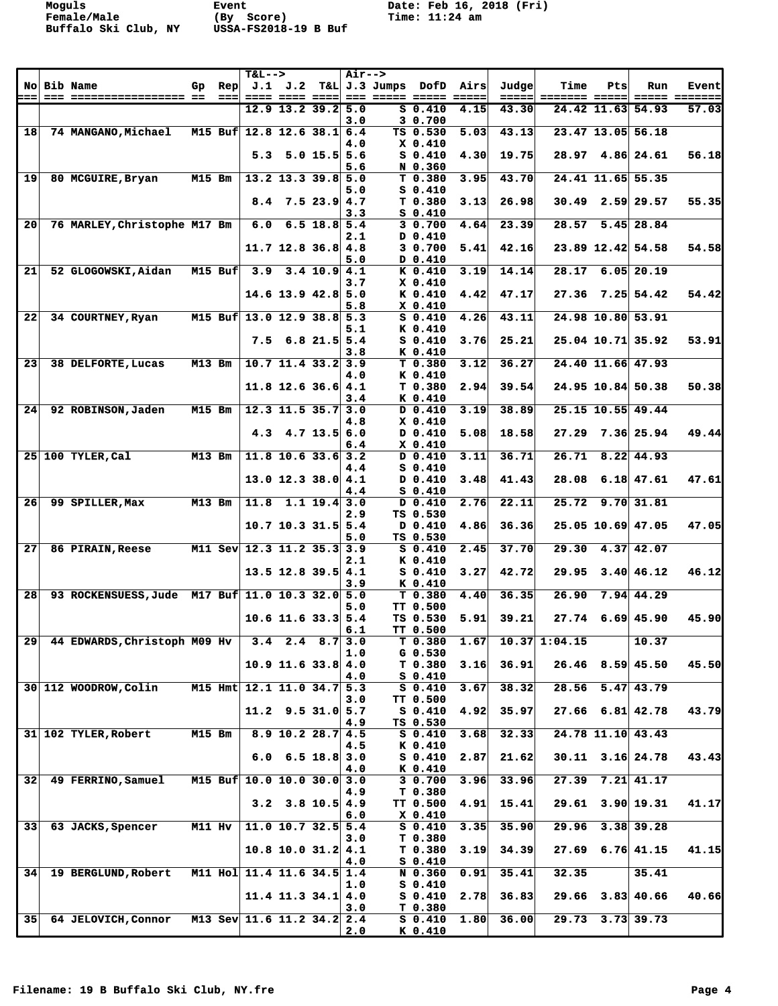**Moguls Event Date: Feb 16, 2018 (Fri)**

|                 |                                                 |                |         | $T&L-->$                   |                                |                | <b>Air--&gt;</b> |                 |                                 |                |                 |                      |     |                        |                        |
|-----------------|-------------------------------------------------|----------------|---------|----------------------------|--------------------------------|----------------|------------------|-----------------|---------------------------------|----------------|-----------------|----------------------|-----|------------------------|------------------------|
|                 | <b>No Bib Name</b>                              | Gp             | Rep     |                            | J.1 J.2                        |                |                  | T&L J.3 Jumps   | DofD                            | Airs           | Judgel          | Time                 | Pts | Run                    | <b>Event</b>           |
| ===             | === ================== ==                       |                | ===     |                            | $12.9$ 13.2 39.2               |                | 5.0              | --- ----- ----- | $S_0.410$                       | ------<br>4.15 | ------<br>43.30 | <b>======= =====</b> |     | 24.42 11.63 54.93      | ----- -------<br>57.03 |
|                 |                                                 |                |         |                            |                                |                | 3.0              |                 | 3 0.700                         |                |                 |                      |     |                        |                        |
| 18              | <b>74 MANGANO, Michael</b>                      |                | M15 Buf |                            | $12.8$ 12.6 38.1 6.4           |                |                  |                 | TS 0.530                        | 5.03           | 43.13           |                      |     | 23.47 13.05 56.18      |                        |
|                 |                                                 |                |         |                            | $5.3$ $5.0$ $15.5$ $5.6$       |                | 4.0              |                 | X 0.410<br>$S_0.410$            | 4.30           | 19.75           |                      |     | $28.97$ 4.86 24.61     | 56.18                  |
|                 |                                                 |                |         |                            |                                |                | 5.6              |                 | N 0.360                         |                |                 |                      |     |                        |                        |
| 19              | 80 MCGUIRE, Bryan                               | <b>M15 Bm</b>  |         |                            | $13.2$ 13.3 39.8 5.0           |                |                  |                 | T <sub>0.380</sub>              | 3.95           | 43.70           |                      |     | 24.41 11.65 55.35      |                        |
|                 |                                                 |                |         |                            |                                | 7.523.94.7     | 5.0              |                 | $S_0.410$<br>T0.380             |                | 26.98           |                      |     |                        |                        |
|                 |                                                 |                |         | 8.4                        |                                |                | 3.3              |                 | $S_0.410$                       | 3.13           |                 |                      |     | $30.49$ 2.59 29.57     | 55.35                  |
| 20              | 76 MARLEY, Christophe M17 Bm                    |                |         | 6.0                        |                                | $6.5$ 18.8 5.4 |                  |                 | 30.700                          | 4.64           | 23.39           | 28.57                |     | $5.45$ 28.84           |                        |
|                 |                                                 |                |         |                            |                                |                | 2.1              |                 | D 0.410<br>30.700               |                |                 |                      |     |                        | 54.58                  |
|                 |                                                 |                |         |                            | $11.7$ 12.8 36.8 4.8           |                | 5.0              |                 | <b>0.410</b> D                  | 5.41           | 42.16           |                      |     | 23.89 12.42 54.58      |                        |
| 21              | 52 GLOGOWSKI, Aidan                             | <b>M15 Buf</b> |         | 3.9                        |                                | $3.4$ 10.9 4.1 |                  |                 | K 0.410                         | 3.19           | 14.14           | 28.17                |     | $6.05$ 20.19           |                        |
|                 |                                                 |                |         |                            |                                |                | 3.7              |                 | $X_0.410$                       |                |                 |                      |     |                        |                        |
|                 |                                                 |                |         |                            | $14.6$ 13.9 $42.8$ 5.0         |                | 5.8              |                 | K 0.410<br>$X_0.410$            | 4.42           | 47.17           |                      |     | $27.36$ $7.25$ 54.42   | 54.42                  |
| 22              | 34 COURTNEY, Ryan                               | <b>M15 Buf</b> |         |                            | $13.0$ 12.9 38.8 5.3           |                |                  |                 | $S_0.410$                       | 4.26           | 43.11           |                      |     | 24.98 10.80 53.91      |                        |
|                 |                                                 |                |         |                            |                                |                | 5.1              |                 | K 0.410                         |                |                 |                      |     |                        |                        |
|                 |                                                 |                |         | 7.5                        |                                | $6.8$ 21.5 5.4 | 3.8              |                 | $S_0.410$<br>K 0.410            | 3.76           | 25.21           |                      |     | $25.04$ 10.71 35.92    | 53.91                  |
| 23              | 38 DELFORTE, Lucas                              | <b>M13 Bm</b>  |         |                            | $10.7$ 11.4 33.2 3.9           |                |                  |                 | $T$ 0.380                       | 3.12           | 36.27           |                      |     | 24.40 11.66 47.93      |                        |
|                 |                                                 |                |         |                            |                                |                | 4.0              |                 | K 0.410                         |                |                 |                      |     |                        |                        |
|                 |                                                 |                |         |                            | $11.8$ 12.6 36.6 4.1           |                | 3.4              |                 | T <sub>0.380</sub><br>K 0.410   | 2.94           | 39.54           |                      |     | 24.95 10.84 50.38      | 50.38                  |
| 24 <sup>1</sup> | 92 ROBINSON, Jaden                              | $M15$ Bm       |         |                            | $12.3$ 11.5 35.7 3.0           |                |                  |                 | D 0.410                         | 3.19           | 38.89           |                      |     | 25.15 10.55 49.44      |                        |
|                 |                                                 |                |         |                            |                                |                | 4.8              |                 | $X$ 0.410                       |                |                 |                      |     |                        |                        |
|                 |                                                 |                |         | 4.3                        |                                | $4.7$ 13.5 6.0 |                  |                 | D 0.410<br>$X_0.410$            | 5.08           | 18.58           | 27.29                |     | 7.36 25.94             | 49.44                  |
|                 | 25 100 TYLER, Cal                               | <b>M13 Bm</b>  |         |                            | $11.8$ 10.6 33.6 3.2           |                | 6.4              |                 | D 0.410                         | 3.11           | 36.71           | 26.71                |     | $8.22$ 44.93           |                        |
|                 |                                                 |                |         |                            |                                |                | 4.4              |                 | $S_0.410$                       |                |                 |                      |     |                        |                        |
|                 |                                                 |                |         |                            | $13.0$ 12.3 38.0 4.1           |                | 4.4              |                 | D 0.410<br>$S_0.410$            | 3.48           | 41.43           | 28.08                |     | $6.18$ 47.61           | 47.61                  |
| 26              | 99 SPILLER, Max                                 | <b>M13 Bm</b>  |         | 11.8                       |                                | $1.1$ 19.4 3.0 |                  |                 | D 0.410                         | 2.76           | 22.11           | 25.72                |     | 9.70 31.81             |                        |
|                 |                                                 |                |         |                            |                                |                | 2.9              |                 | TS 0.530                        |                |                 |                      |     |                        |                        |
|                 |                                                 |                |         |                            | $10.7$ 10.3 31.5 5.4           |                | 5.0              |                 | D 0.410<br>TS 0.530             | 4.86           | 36.36           |                      |     | 25.05 10.69 47.05      | 47.05                  |
| 27              | <b>86 PIRAIN, Reese</b>                         |                |         | M11 Sev 12.3 11.2 35.3 3.9 |                                |                |                  |                 | $S_0.410$                       | 2.45           | 37.70           | 29.30                |     | $4.37$ $42.07$         |                        |
|                 |                                                 |                |         |                            |                                |                | 2.1              |                 | K 0.410                         |                |                 |                      |     |                        |                        |
|                 |                                                 |                |         |                            | $13.5$ 12.8 39.5 4.1           |                | 3.9              |                 | $S_0.410$<br>K 0.410            | 3.27           | 42.72           | 29.95                |     | 3.40 46.12             | 46.12                  |
| 28              | 93 ROCKENSUESS, Jude M17 Buf 11.0 10.3 32.0 5.0 |                |         |                            |                                |                |                  |                 | T 0.380                         | 4.40           | 36.35           | 26.90                |     | $7.94 \, 44.29$        |                        |
|                 |                                                 |                |         |                            |                                |                | 5.0              |                 | TT 0.500                        |                |                 |                      |     |                        |                        |
|                 |                                                 |                |         |                            | $10.6$ 11.6 33.3 5.4           |                | 6.1              |                 | TS 0.530<br><b>TT 0.500</b>     | 5.91           | 39.21           |                      |     | $27.74$ 6.69 45.90     | 45.90                  |
| 29              | 44 EDWARDS, Christoph M09 Hv                    |                |         |                            | $3.4$ 2.4 8.7                  |                | 3.0              |                 | T 0.380                         | 1.67           |                 | $10.37$ 1:04.15      |     | 10.37                  |                        |
|                 |                                                 |                |         |                            |                                |                | 1.0              |                 | $G_0.530$                       |                |                 |                      |     |                        |                        |
|                 |                                                 |                |         |                            | $10.9$ 11.6 33.8 4.0           |                | 4.0              |                 | T0.380<br>$S_0.410$             | 3.16           | 36.91           |                      |     | $26.46$ 8.59 45.50     | 45.50                  |
|                 | 30 112 WOODROW, Colin                           | M15 Hmt        |         |                            | $12.1$ 11.0 34.7 5.3           |                |                  |                 | $S_0.410$                       | 3.67           | 38.32           | 28.56                |     | $5.47 \, 43.79$        |                        |
|                 |                                                 |                |         |                            |                                |                | 3.0              |                 | TT 0.500                        |                |                 |                      |     |                        |                        |
|                 |                                                 |                |         |                            | $11.2$ 9.5 31.0 5.7            |                | 4.9              |                 | $S_0.410$<br>TS 0.530           | 4.92           | 35.97           |                      |     | $27.66$ 6.81 42.78     | 43.79                  |
|                 | 31 102 TYLER, Robert                            | <b>M15 Bm</b>  |         |                            | $8.9$ 10.2 28.7 4.5            |                |                  |                 | $S_0.410$                       | 3.68           | 32.33           |                      |     | 24.78 11.10 43.43      |                        |
|                 |                                                 |                |         |                            |                                |                | 4.5              |                 | K 0.410                         |                |                 |                      |     |                        |                        |
|                 |                                                 |                |         |                            | $6.0 \quad 6.5 \quad 18.8$ 3.0 |                | 4.0              |                 | $S_0.410$<br>K 0.410            | 2.87           | 21.62           |                      |     | $30.11$ $3.16$ 24.78   | 43.43                  |
| 32 <sub>1</sub> | 49 FERRINO, Samuel                              | M15 Buf        |         |                            | 10.0 10.0 30.0 3.0             |                |                  |                 | 30.700                          | 3.96           | 33.96           |                      |     | $27.39$ $7.21$ $41.17$ |                        |
|                 |                                                 |                |         |                            |                                |                | 4.9              |                 | T 0.380                         |                |                 |                      |     |                        |                        |
|                 |                                                 |                |         |                            | $3.2$ $3.8$ $10.5$ $4.9$       |                | 6.0              |                 | <b>TT 0.500</b><br>$X_0.410$    | 4.91           | 15.41           |                      |     | $29.61$ $3.90$ $19.31$ | 41.17                  |
| 33 <sup>1</sup> | 63 JACKS, Spencer                               | <b>M11 Hv</b>  |         |                            | $11.0$ 10.7 32.5 5.4           |                |                  |                 | $S_0.410$                       | 3.35           | 35.90           | 29.96                |     | $3.38$ 39.28           |                        |
|                 |                                                 |                |         |                            |                                |                | 3.0              |                 | T 0.380                         |                |                 |                      |     |                        |                        |
|                 |                                                 |                |         |                            | $10.8$ 10.0 31.2 4.1           |                | 4.0              |                 | T <sub>0.380</sub><br>$S_0.410$ | 3.19           | 34.39           |                      |     | $27.69$ 6.76 41.15     | 41.15                  |
| 34              | 19 BERGLUND, Robert                             |                |         | M11 Hol 11.4 11.6 34.5 1.4 |                                |                |                  |                 | N 0.360                         | 0.91           | 35.41           | 32.35                |     | 35.41                  |                        |
|                 |                                                 |                |         |                            |                                |                | 1.0              |                 | $S_0.410$                       |                |                 |                      |     |                        |                        |
|                 |                                                 |                |         |                            | $11.4$ 11.3 34.1 4.0           |                | 3.0              |                 | $S_0.410$<br>T 0.380            | 2.78           | 36.83           |                      |     | $29.66$ $3.83$ 40.66   | 40.66                  |
| 35              | <b>64 JELOVICH, Connor</b>                      |                |         | M13 Sev 11.6 11.2 34.2 2.4 |                                |                |                  |                 | $S_0.410$                       | 1.80           | 36.00           |                      |     | $29.73$ $3.73$ $39.73$ |                        |
|                 |                                                 |                |         |                            |                                |                | 2.0              |                 | K 0.410                         |                |                 |                      |     |                        |                        |